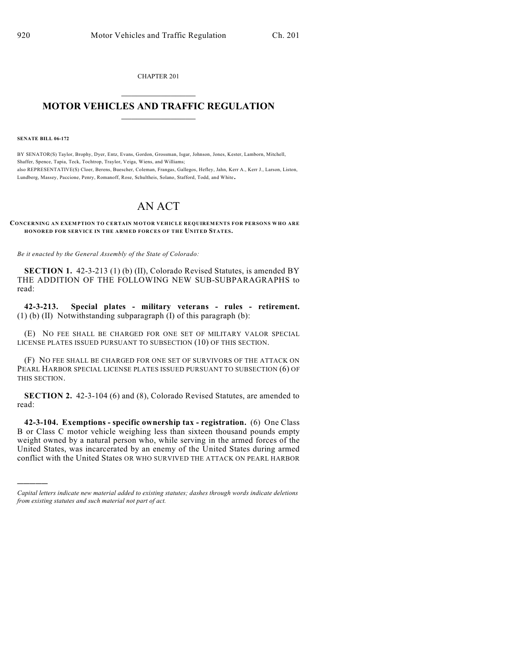CHAPTER 201

## $\mathcal{L}_\text{max}$  . The set of the set of the set of the set of the set of the set of the set of the set of the set of the set of the set of the set of the set of the set of the set of the set of the set of the set of the set **MOTOR VEHICLES AND TRAFFIC REGULATION**  $\frac{1}{2}$  ,  $\frac{1}{2}$  ,  $\frac{1}{2}$  ,  $\frac{1}{2}$  ,  $\frac{1}{2}$  ,  $\frac{1}{2}$  ,  $\frac{1}{2}$  ,  $\frac{1}{2}$

**SENATE BILL 06-172**

)))))

BY SENATOR(S) Taylor, Brophy, Dyer, Entz, Evans, Gordon, Grossman, Isgar, Johnson, Jones, Kester, Lamborn, Mitchell, Shaffer, Spence, Tapia, Teck, Tochtrop, Traylor, Veiga, Wiens, and Williams; also REPRESENTATIVE(S) Cloer, Berens, Buescher, Coleman, Frangas, Gallegos, Hefley, Jahn, Kerr A., Kerr J., Larson, Liston, Lundberg, Massey, Paccione, Penry, Romanoff, Rose, Schultheis, Solano, Stafford, Todd, and White.

## AN ACT

## **CONCERNING AN EXEMPTION TO CERTAIN MOTOR VEHICLE REQUIREMENTS FOR PERSONS WHO ARE HONORED FOR SERVICE IN THE ARMED FORCES OF THE UNITED STATES.**

*Be it enacted by the General Assembly of the State of Colorado:*

**SECTION 1.** 42-3-213 (1) (b) (II), Colorado Revised Statutes, is amended BY THE ADDITION OF THE FOLLOWING NEW SUB-SUBPARAGRAPHS to read:

**42-3-213. Special plates - military veterans - rules - retirement.** (1) (b) (II) Notwithstanding subparagraph (I) of this paragraph (b):

(E) NO FEE SHALL BE CHARGED FOR ONE SET OF MILITARY VALOR SPECIAL LICENSE PLATES ISSUED PURSUANT TO SUBSECTION (10) OF THIS SECTION.

(F) NO FEE SHALL BE CHARGED FOR ONE SET OF SURVIVORS OF THE ATTACK ON PEARL HARBOR SPECIAL LICENSE PLATES ISSUED PURSUANT TO SUBSECTION (6) OF THIS SECTION.

**SECTION 2.** 42-3-104 (6) and (8), Colorado Revised Statutes, are amended to read:

**42-3-104. Exemptions - specific ownership tax - registration.** (6) One Class B or Class C motor vehicle weighing less than sixteen thousand pounds empty weight owned by a natural person who, while serving in the armed forces of the United States, was incarcerated by an enemy of the United States during armed conflict with the United States OR WHO SURVIVED THE ATTACK ON PEARL HARBOR

*Capital letters indicate new material added to existing statutes; dashes through words indicate deletions from existing statutes and such material not part of act.*